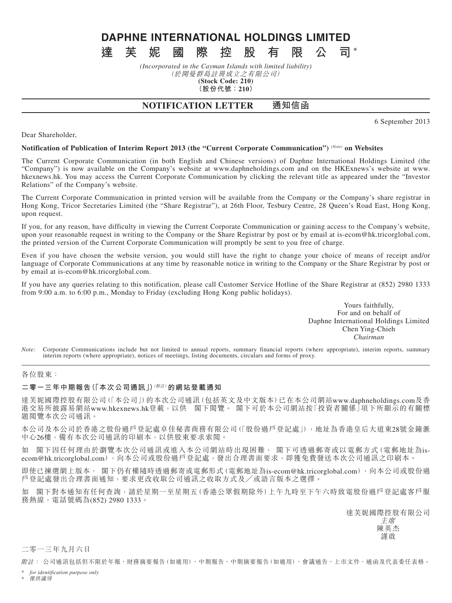# **DAPHNE INTERNATIONAL HOLDINGS LIMITED 達芙妮國際控股有限公司 \***

#### *(Incorporated in the Cayman Islands with limited liability)* (於開曼群島註冊成立之有限公司) **(Stock Code: 210) (股份代號:210)**

# **NOTIFICATION LETTER 通知信函**

6 September 2013

# Dear Shareholder,

#### **Notification of Publication of Interim Report 2013 (the "Current Corporate Communication")** *(Note)* **on Websites**

The Current Corporate Communication (in both English and Chinese versions) of Daphne International Holdings Limited (the "Company") is now available on the Company's website at www.daphneholdings.com and on the HKExnews's website at www. hkexnews.hk. You may access the Current Corporate Communication by clicking the relevant title as appeared under the "Investor Relations" of the Company's website.

The Current Corporate Communication in printed version will be available from the Company or the Company's share registrar in Hong Kong, Tricor Secretaries Limited (the "Share Registrar"), at 26th Floor, Tesbury Centre, 28 Queen's Road East, Hong Kong, upon request.

If you, for any reason, have difficulty in viewing the Current Corporate Communication or gaining access to the Company's website, upon your reasonable request in writing to the Company or the Share Registrar by post or by email at is-ecom@hk.tricorglobal.com, the printed version of the Current Corporate Communication will promptly be sent to you free of charge.

Even if you have chosen the website version, you would still have the right to change your choice of means of receipt and/or language of Corporate Communications at any time by reasonable notice in writing to the Company or the Share Registrar by post or by email at is-ecom@hk.tricorglobal.com.

If you have any queries relating to this notification, please call Customer Service Hotline of the Share Registrar at (852) 2980 1333 from 9:00 a.m. to 6:00 p.m., Monday to Friday (excluding Hong Kong public holidays).

> Yours faithfully, For and on behalf of Daphne International Holdings Limited Chen Ying-Chieh *Chairman*

*Note:* Corporate Communications include but not limited to annual reports, summary financial reports (where appropriate), interim reports, summary interim reports (where appropriate), notices of meetings, listing documents, circulars and forms of proxy.

#### 各位股東:

#### **二零一三年中期報告(「本次公司通訊」)**(附註)**的網站登載通知**

達芙妮國際控股有限公司(「本公司」)的本次公司通訊(包括英文及中文版本)已在本公司網站www.daphneholdings.com及香 港交易所披露易網站www.hkexnews.hk登載,以供 閣下閲覽。 閣下可於本公司網站按「投資者關係」項下所顯示的有關標 題閱覽本次公司通訊。

本公司及本公司於香港之股份過戶登記處卓佳秘書商務有限公司(「股份過戶登記處」),地址為香港皇后大道東28號金鐘滙 中心26樓,備有本次公司通訊的印刷本,以供股東要求索閱。

如 閣下因任何理由於瀏覽本次公司通訊或進入本公司網站時出現困難, 閣下可透過郵寄或以電郵方式(電郵地址為isecom@hk.tricorglobal.com),向本公司或股份過戶登記處,發出合理書面要求,即獲免費發送本次公司通訊之印刷本。

即使已揀選網上版本, 閣下仍有權隨時透過郵寄或電郵形式(電郵地址為is-ecom@hk.tricorglobal.com),向本公司或股份過 戶登記處發出合理書面通知,要求更改收取公司通訊之收取方式及╱或語言版本之選擇。

如 閣下對本通知有任何查詢,請於星期一至星期五(香港公眾假期除外)上午九時至下午六時致電股份過戶登記處客戶服 務熱線,電話號碼為(852) 2980 1333。

達芙妮國際控股有限公司

主席 陳英杰 謹啟

### 二零一三年九月六日

附註: 公司通訊包括但不限於年報、財務摘要報告(如適用)、中期報告、中期摘要報告(如適用)、會議通告、上市文件、通函及代表委任表格。